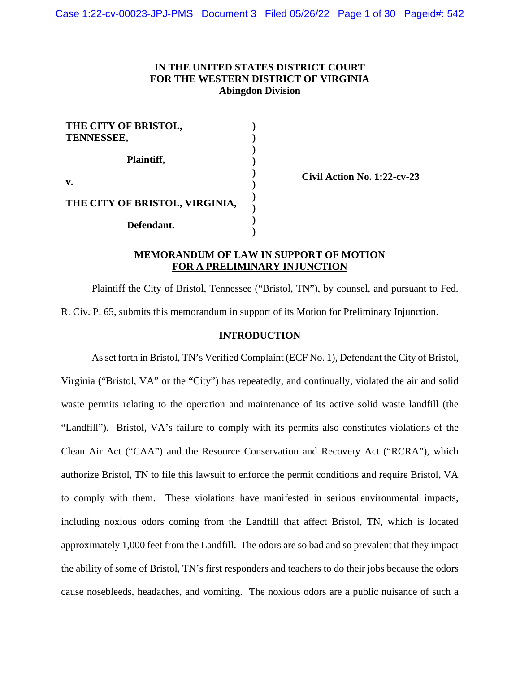# **IN THE UNITED STATES DISTRICT COURT FOR THE WESTERN DISTRICT OF VIRGINIA Abingdon Division**

| THE CITY OF BRISTOL,<br><b>TENNESSEE,</b> |  |
|-------------------------------------------|--|
| Plaintiff,                                |  |
| v.                                        |  |
| THE CITY OF BRISTOL, VIRGINIA,            |  |
| Defendant.                                |  |

**Civil Action No. 1:22-cv-23** 

## **MEMORANDUM OF LAW IN SUPPORT OF MOTION FOR A PRELIMINARY INJUNCTION**

Plaintiff the City of Bristol, Tennessee ("Bristol, TN"), by counsel, and pursuant to Fed. R. Civ. P. 65, submits this memorandum in support of its Motion for Preliminary Injunction.

### **INTRODUCTION**

As set forth in Bristol, TN's Verified Complaint (ECF No. 1), Defendant the City of Bristol, Virginia ("Bristol, VA" or the "City") has repeatedly, and continually, violated the air and solid waste permits relating to the operation and maintenance of its active solid waste landfill (the "Landfill"). Bristol, VA's failure to comply with its permits also constitutes violations of the Clean Air Act ("CAA") and the Resource Conservation and Recovery Act ("RCRA"), which authorize Bristol, TN to file this lawsuit to enforce the permit conditions and require Bristol, VA to comply with them. These violations have manifested in serious environmental impacts, including noxious odors coming from the Landfill that affect Bristol, TN, which is located approximately 1,000 feet from the Landfill. The odors are so bad and so prevalent that they impact the ability of some of Bristol, TN's first responders and teachers to do their jobs because the odors cause nosebleeds, headaches, and vomiting. The noxious odors are a public nuisance of such a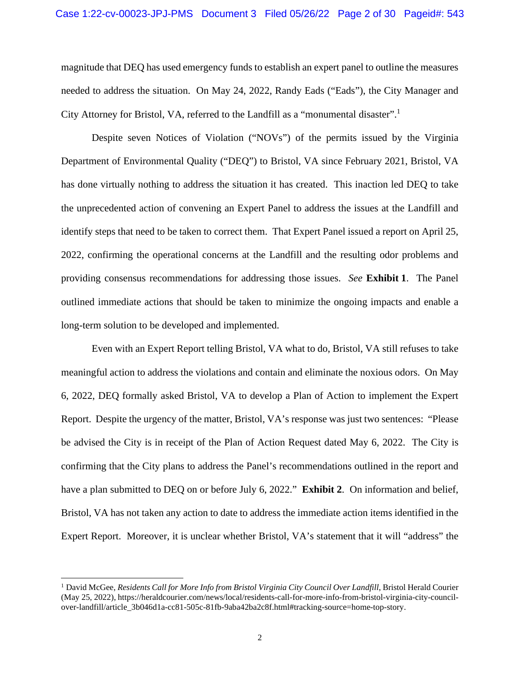magnitude that DEQ has used emergency funds to establish an expert panel to outline the measures needed to address the situation. On May 24, 2022, Randy Eads ("Eads"), the City Manager and City Attorney for Bristol, VA, referred to the Landfill as a "monumental disaster".<sup>1</sup>

Despite seven Notices of Violation ("NOVs") of the permits issued by the Virginia Department of Environmental Quality ("DEQ") to Bristol, VA since February 2021, Bristol, VA has done virtually nothing to address the situation it has created. This inaction led DEQ to take the unprecedented action of convening an Expert Panel to address the issues at the Landfill and identify steps that need to be taken to correct them. That Expert Panel issued a report on April 25, 2022, confirming the operational concerns at the Landfill and the resulting odor problems and providing consensus recommendations for addressing those issues. *See* **Exhibit 1**. The Panel outlined immediate actions that should be taken to minimize the ongoing impacts and enable a long-term solution to be developed and implemented.

Even with an Expert Report telling Bristol, VA what to do, Bristol, VA still refuses to take meaningful action to address the violations and contain and eliminate the noxious odors. On May 6, 2022, DEQ formally asked Bristol, VA to develop a Plan of Action to implement the Expert Report. Despite the urgency of the matter, Bristol, VA's response was just two sentences: "Please be advised the City is in receipt of the Plan of Action Request dated May 6, 2022. The City is confirming that the City plans to address the Panel's recommendations outlined in the report and have a plan submitted to DEQ on or before July 6, 2022." **Exhibit 2**. On information and belief, Bristol, VA has not taken any action to date to address the immediate action items identified in the Expert Report. Moreover, it is unclear whether Bristol, VA's statement that it will "address" the

<sup>&</sup>lt;sup>1</sup> David McGee, *Residents Call for More Info from Bristol Virginia City Council Over Landfill*, Bristol Herald Courier (May 25, 2022), https://heraldcourier.com/news/local/residents-call-for-more-info-from-bristol-virginia-city-councilover-landfill/article\_3b046d1a-cc81-505c-81fb-9aba42ba2c8f.html#tracking-source=home-top-story.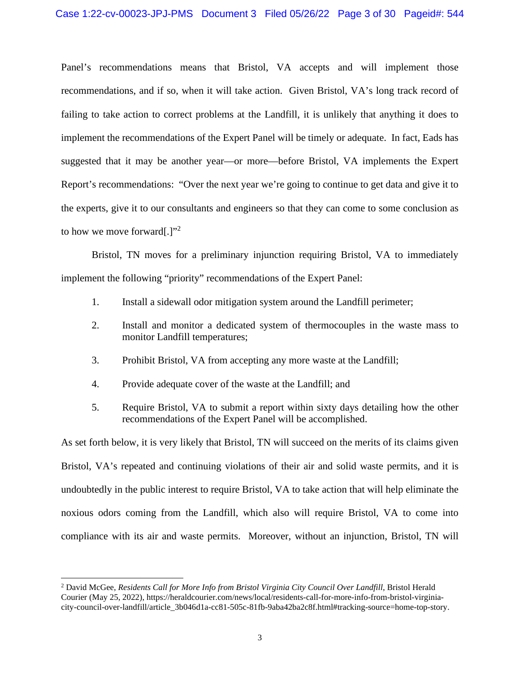Panel's recommendations means that Bristol, VA accepts and will implement those recommendations, and if so, when it will take action. Given Bristol, VA's long track record of failing to take action to correct problems at the Landfill, it is unlikely that anything it does to implement the recommendations of the Expert Panel will be timely or adequate. In fact, Eads has suggested that it may be another year—or more—before Bristol, VA implements the Expert Report's recommendations: "Over the next year we're going to continue to get data and give it to the experts, give it to our consultants and engineers so that they can come to some conclusion as to how we move forward.]"<sup>2</sup>

Bristol, TN moves for a preliminary injunction requiring Bristol, VA to immediately implement the following "priority" recommendations of the Expert Panel:

- 1. Install a sidewall odor mitigation system around the Landfill perimeter;
- 2. Install and monitor a dedicated system of thermocouples in the waste mass to monitor Landfill temperatures;
- 3. Prohibit Bristol, VA from accepting any more waste at the Landfill;
- 4. Provide adequate cover of the waste at the Landfill; and
- 5. Require Bristol, VA to submit a report within sixty days detailing how the other recommendations of the Expert Panel will be accomplished.

As set forth below, it is very likely that Bristol, TN will succeed on the merits of its claims given Bristol, VA's repeated and continuing violations of their air and solid waste permits, and it is undoubtedly in the public interest to require Bristol, VA to take action that will help eliminate the noxious odors coming from the Landfill, which also will require Bristol, VA to come into compliance with its air and waste permits. Moreover, without an injunction, Bristol, TN will

<sup>2</sup> David McGee, *Residents Call for More Info from Bristol Virginia City Council Over Landfill*, Bristol Herald Courier (May 25, 2022), https://heraldcourier.com/news/local/residents-call-for-more-info-from-bristol-virginiacity-council-over-landfill/article\_3b046d1a-cc81-505c-81fb-9aba42ba2c8f.html#tracking-source=home-top-story.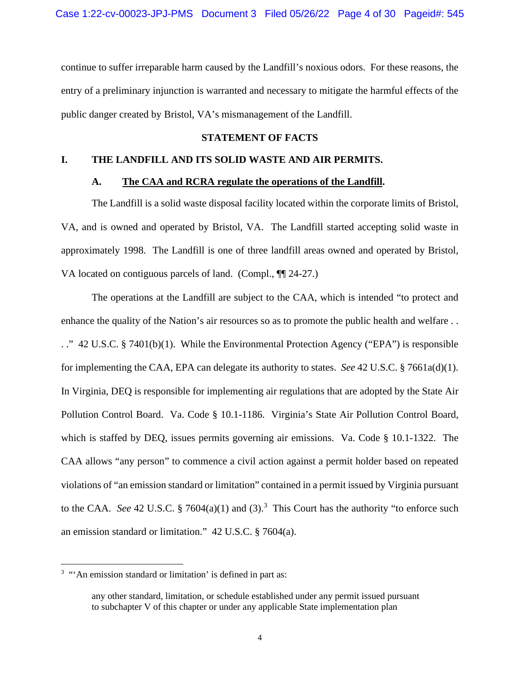continue to suffer irreparable harm caused by the Landfill's noxious odors. For these reasons, the entry of a preliminary injunction is warranted and necessary to mitigate the harmful effects of the public danger created by Bristol, VA's mismanagement of the Landfill.

## **STATEMENT OF FACTS**

## **I. THE LANDFILL AND ITS SOLID WASTE AND AIR PERMITS.**

### **A. The CAA and RCRA regulate the operations of the Landfill.**

The Landfill is a solid waste disposal facility located within the corporate limits of Bristol, VA, and is owned and operated by Bristol, VA. The Landfill started accepting solid waste in approximately 1998. The Landfill is one of three landfill areas owned and operated by Bristol, VA located on contiguous parcels of land. (Compl., ¶¶ 24-27.)

The operations at the Landfill are subject to the CAA, which is intended "to protect and enhance the quality of the Nation's air resources so as to promote the public health and welfare . . . ." 42 U.S.C. § 7401(b)(1). While the Environmental Protection Agency ("EPA") is responsible for implementing the CAA, EPA can delegate its authority to states. *See* 42 U.S.C. § 7661a(d)(1). In Virginia, DEQ is responsible for implementing air regulations that are adopted by the State Air Pollution Control Board. Va. Code § 10.1-1186. Virginia's State Air Pollution Control Board, which is staffed by DEQ, issues permits governing air emissions. Va. Code § 10.1-1322. The CAA allows "any person" to commence a civil action against a permit holder based on repeated violations of "an emission standard or limitation" contained in a permit issued by Virginia pursuant to the CAA. See 42 U.S.C.  $\S 7604(a)(1)$  and  $(3).$ <sup>3</sup> This Court has the authority "to enforce such an emission standard or limitation." 42 U.S.C. § 7604(a).

<sup>&</sup>lt;sup>3</sup> "'An emission standard or limitation' is defined in part as:

any other standard, limitation, or schedule established under any permit issued pursuant to subchapter V of this chapter or under any applicable State implementation plan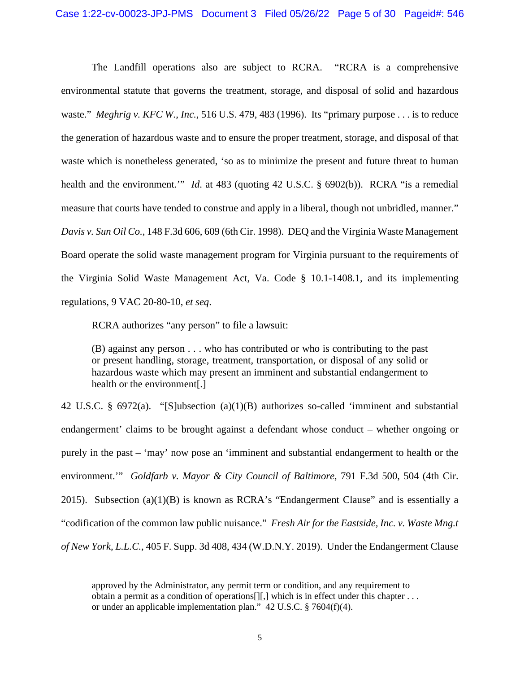The Landfill operations also are subject to RCRA. "RCRA is a comprehensive environmental statute that governs the treatment, storage, and disposal of solid and hazardous waste." *Meghrig v. KFC W., Inc.*, 516 U.S. 479, 483 (1996). Its "primary purpose . . . is to reduce the generation of hazardous waste and to ensure the proper treatment, storage, and disposal of that waste which is nonetheless generated, 'so as to minimize the present and future threat to human health and the environment.'" *Id.* at 483 (quoting 42 U.S.C. § 6902(b)). RCRA "is a remedial measure that courts have tended to construe and apply in a liberal, though not unbridled, manner." *Davis v. Sun Oil Co.*, 148 F.3d 606, 609 (6th Cir. 1998). DEQ and the Virginia Waste Management Board operate the solid waste management program for Virginia pursuant to the requirements of the Virginia Solid Waste Management Act, Va. Code § 10.1-1408.1, and its implementing regulations, 9 VAC 20-80-10, *et seq*.

RCRA authorizes "any person" to file a lawsuit:

(B) against any person . . . who has contributed or who is contributing to the past or present handling, storage, treatment, transportation, or disposal of any solid or hazardous waste which may present an imminent and substantial endangerment to health or the environment[.]

42 U.S.C. § 6972(a). "[S]ubsection (a)(1)(B) authorizes so-called 'imminent and substantial endangerment' claims to be brought against a defendant whose conduct – whether ongoing or purely in the past – 'may' now pose an 'imminent and substantial endangerment to health or the environment.'" *Goldfarb v. Mayor & City Council of Baltimore*, 791 F.3d 500, 504 (4th Cir. 2015). Subsection  $(a)(1)(B)$  is known as RCRA's "Endangerment Clause" and is essentially a "codification of the common law public nuisance." *Fresh Air for the Eastside, Inc. v. Waste Mng.t of New York, L.L.C.*, 405 F. Supp. 3d 408, 434 (W.D.N.Y. 2019). Under the Endangerment Clause

approved by the Administrator, any permit term or condition, and any requirement to obtain a permit as a condition of operations  $[[,]$  which is in effect under this chapter  $\dots$ or under an applicable implementation plan." 42 U.S.C. § 7604(f)(4).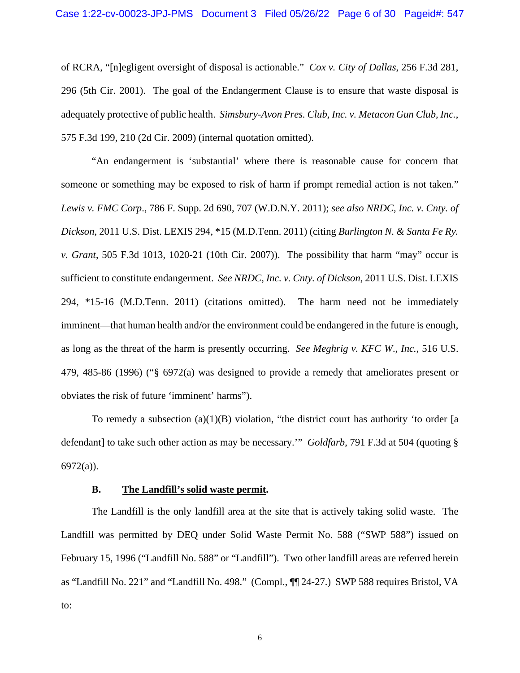of RCRA, "[n]egligent oversight of disposal is actionable." *Cox v. City of Dallas*, 256 F.3d 281, 296 (5th Cir. 2001). The goal of the Endangerment Clause is to ensure that waste disposal is adequately protective of public health. *Simsbury-Avon Pres. Club, Inc. v. Metacon Gun Club, Inc.*, 575 F.3d 199, 210 (2d Cir. 2009) (internal quotation omitted).

"An endangerment is 'substantial' where there is reasonable cause for concern that someone or something may be exposed to risk of harm if prompt remedial action is not taken." *Lewis v. FMC Corp*., 786 F. Supp. 2d 690, 707 (W.D.N.Y. 2011); *see also NRDC, Inc. v. Cnty. of Dickson*, 2011 U.S. Dist. LEXIS 294, \*15 (M.D.Tenn. 2011) (citing *Burlington N. & Santa Fe Ry. v. Grant*, 505 F.3d 1013, 1020-21 (10th Cir. 2007)). The possibility that harm "may" occur is sufficient to constitute endangerment. *See NRDC, Inc. v. Cnty. of Dickson*, 2011 U.S. Dist. LEXIS 294, \*15-16 (M.D.Tenn. 2011) (citations omitted). The harm need not be immediately imminent—that human health and/or the environment could be endangered in the future is enough, as long as the threat of the harm is presently occurring. *See Meghrig v. KFC W*.*, Inc.*, 516 U.S. 479, 485-86 (1996) ("§ 6972(a) was designed to provide a remedy that ameliorates present or obviates the risk of future 'imminent' harms").

To remedy a subsection  $(a)(1)(B)$  violation, "the district court has authority 'to order [a defendant] to take such other action as may be necessary.'" *Goldfarb*, 791 F.3d at 504 (quoting § 6972(a)).

### **B. The Landfill's solid waste permit.**

The Landfill is the only landfill area at the site that is actively taking solid waste. The Landfill was permitted by DEQ under Solid Waste Permit No. 588 ("SWP 588") issued on February 15, 1996 ("Landfill No. 588" or "Landfill"). Two other landfill areas are referred herein as "Landfill No. 221" and "Landfill No. 498." (Compl., ¶¶ 24-27.) SWP 588 requires Bristol, VA to:

6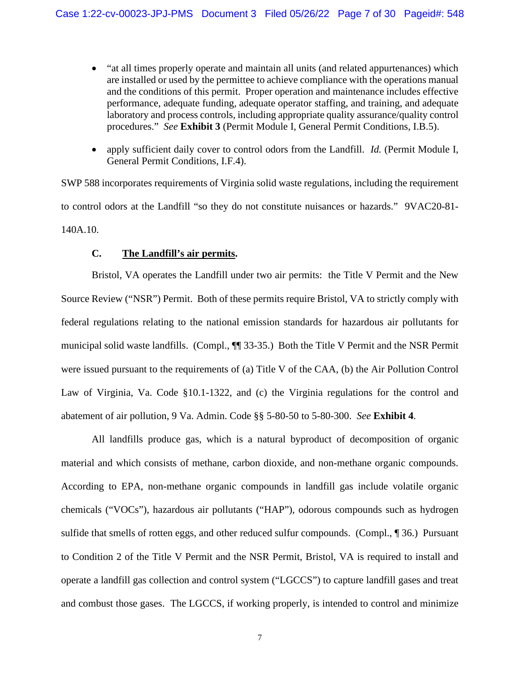- "at all times properly operate and maintain all units (and related appurtenances) which are installed or used by the permittee to achieve compliance with the operations manual and the conditions of this permit. Proper operation and maintenance includes effective performance, adequate funding, adequate operator staffing, and training, and adequate laboratory and process controls, including appropriate quality assurance/quality control procedures." *See* **Exhibit 3** (Permit Module I, General Permit Conditions, I.B.5).
- apply sufficient daily cover to control odors from the Landfill. *Id.* (Permit Module I, General Permit Conditions, I.F.4).

SWP 588 incorporates requirements of Virginia solid waste regulations, including the requirement to control odors at the Landfill "so they do not constitute nuisances or hazards." 9VAC20-81- 140A.10.

## **C. The Landfill's air permits.**

Bristol, VA operates the Landfill under two air permits: the Title V Permit and the New Source Review ("NSR") Permit. Both of these permits require Bristol, VA to strictly comply with federal regulations relating to the national emission standards for hazardous air pollutants for municipal solid waste landfills. (Compl., ¶¶ 33-35.) Both the Title V Permit and the NSR Permit were issued pursuant to the requirements of (a) Title V of the CAA, (b) the Air Pollution Control Law of Virginia, Va. Code §10.1-1322, and (c) the Virginia regulations for the control and abatement of air pollution, 9 Va. Admin. Code §§ 5-80-50 to 5-80-300. *See* **Exhibit 4**.

All landfills produce gas, which is a natural byproduct of decomposition of organic material and which consists of methane, carbon dioxide, and non-methane organic compounds. According to EPA, non-methane organic compounds in landfill gas include volatile organic chemicals ("VOCs"), hazardous air pollutants ("HAP"), odorous compounds such as hydrogen sulfide that smells of rotten eggs, and other reduced sulfur compounds. (Compl., ¶ 36.) Pursuant to Condition 2 of the Title V Permit and the NSR Permit, Bristol, VA is required to install and operate a landfill gas collection and control system ("LGCCS") to capture landfill gases and treat and combust those gases. The LGCCS, if working properly, is intended to control and minimize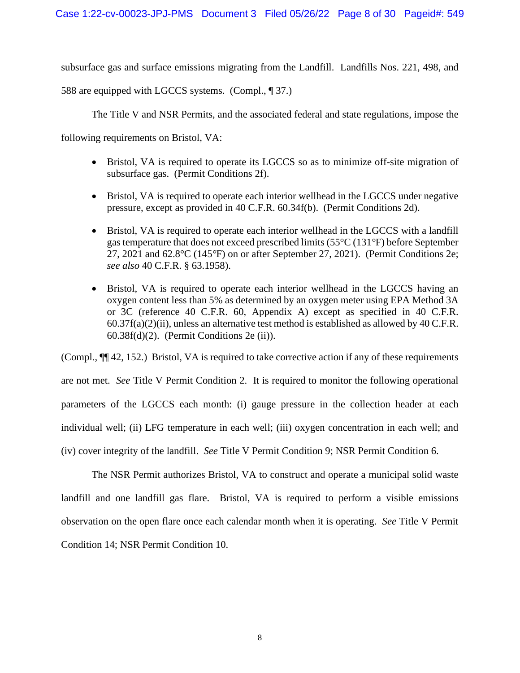subsurface gas and surface emissions migrating from the Landfill. Landfills Nos. 221, 498, and

588 are equipped with LGCCS systems. (Compl., ¶ 37.)

The Title V and NSR Permits, and the associated federal and state regulations, impose the

following requirements on Bristol, VA:

- Bristol, VA is required to operate its LGCCS so as to minimize off-site migration of subsurface gas. (Permit Conditions 2f).
- Bristol, VA is required to operate each interior wellhead in the LGCCS under negative pressure, except as provided in 40 C.F.R. 60.34f(b). (Permit Conditions 2d).
- Bristol, VA is required to operate each interior wellhead in the LGCCS with a landfill gas temperature that does not exceed prescribed limits (55°C (131*°*F) before September 27, 2021 and 62.8°C (145*°*F) on or after September 27, 2021). (Permit Conditions 2e; *see also* 40 C.F.R. § 63.1958).
- Bristol, VA is required to operate each interior wellhead in the LGCCS having an oxygen content less than 5% as determined by an oxygen meter using EPA Method 3A or 3C (reference 40 C.F.R. 60, Appendix A) except as specified in 40 C.F.R.  $60.37f(a)(2)(ii)$ , unless an alternative test method is established as allowed by 40 C.F.R.  $60.38f(d)(2)$ . (Permit Conditions 2e (ii)).

(Compl., ¶¶ 42, 152.) Bristol, VA is required to take corrective action if any of these requirements are not met. *See* Title V Permit Condition 2. It is required to monitor the following operational parameters of the LGCCS each month: (i) gauge pressure in the collection header at each individual well; (ii) LFG temperature in each well; (iii) oxygen concentration in each well; and (iv) cover integrity of the landfill. *See* Title V Permit Condition 9; NSR Permit Condition 6.

The NSR Permit authorizes Bristol, VA to construct and operate a municipal solid waste landfill and one landfill gas flare. Bristol, VA is required to perform a visible emissions observation on the open flare once each calendar month when it is operating. *See* Title V Permit Condition 14; NSR Permit Condition 10.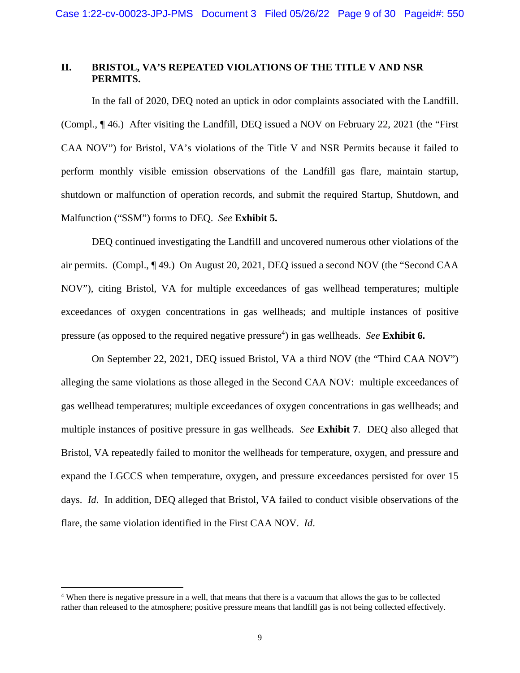# **II. BRISTOL, VA'S REPEATED VIOLATIONS OF THE TITLE V AND NSR PERMITS.**

In the fall of 2020, DEQ noted an uptick in odor complaints associated with the Landfill. (Compl., ¶ 46.) After visiting the Landfill, DEQ issued a NOV on February 22, 2021 (the "First CAA NOV") for Bristol, VA's violations of the Title V and NSR Permits because it failed to perform monthly visible emission observations of the Landfill gas flare, maintain startup, shutdown or malfunction of operation records, and submit the required Startup, Shutdown, and Malfunction ("SSM") forms to DEQ. *See* **Exhibit 5.** 

DEQ continued investigating the Landfill and uncovered numerous other violations of the air permits. (Compl., ¶ 49.) On August 20, 2021, DEQ issued a second NOV (the "Second CAA NOV"), citing Bristol, VA for multiple exceedances of gas wellhead temperatures; multiple exceedances of oxygen concentrations in gas wellheads; and multiple instances of positive pressure (as opposed to the required negative pressure<sup>4</sup>) in gas wellheads. *See* Exhibit 6.

On September 22, 2021, DEQ issued Bristol, VA a third NOV (the "Third CAA NOV") alleging the same violations as those alleged in the Second CAA NOV: multiple exceedances of gas wellhead temperatures; multiple exceedances of oxygen concentrations in gas wellheads; and multiple instances of positive pressure in gas wellheads. *See* **Exhibit 7**. DEQ also alleged that Bristol, VA repeatedly failed to monitor the wellheads for temperature, oxygen, and pressure and expand the LGCCS when temperature, oxygen, and pressure exceedances persisted for over 15 days. *Id*. In addition, DEQ alleged that Bristol, VA failed to conduct visible observations of the flare, the same violation identified in the First CAA NOV. *Id*.

<sup>&</sup>lt;sup>4</sup> When there is negative pressure in a well, that means that there is a vacuum that allows the gas to be collected rather than released to the atmosphere; positive pressure means that landfill gas is not being collected effectively.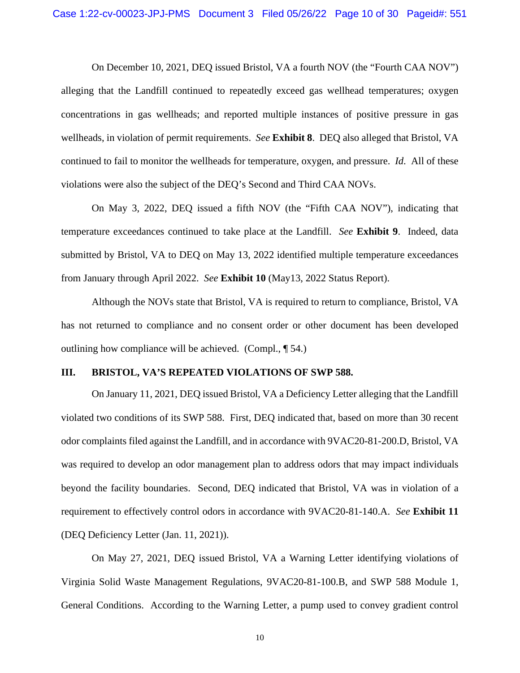On December 10, 2021, DEQ issued Bristol, VA a fourth NOV (the "Fourth CAA NOV") alleging that the Landfill continued to repeatedly exceed gas wellhead temperatures; oxygen concentrations in gas wellheads; and reported multiple instances of positive pressure in gas wellheads, in violation of permit requirements. *See* **Exhibit 8**. DEQ also alleged that Bristol, VA continued to fail to monitor the wellheads for temperature, oxygen, and pressure. *Id*. All of these violations were also the subject of the DEQ's Second and Third CAA NOVs.

On May 3, 2022, DEQ issued a fifth NOV (the "Fifth CAA NOV"), indicating that temperature exceedances continued to take place at the Landfill. *See* **Exhibit 9**. Indeed, data submitted by Bristol, VA to DEQ on May 13, 2022 identified multiple temperature exceedances from January through April 2022. *See* **Exhibit 10** (May13, 2022 Status Report).

Although the NOVs state that Bristol, VA is required to return to compliance, Bristol, VA has not returned to compliance and no consent order or other document has been developed outlining how compliance will be achieved. (Compl., ¶ 54.)

### **III. BRISTOL, VA'S REPEATED VIOLATIONS OF SWP 588.**

On January 11, 2021, DEQ issued Bristol, VA a Deficiency Letter alleging that the Landfill violated two conditions of its SWP 588. First, DEQ indicated that, based on more than 30 recent odor complaints filed against the Landfill, and in accordance with 9VAC20-81-200.D, Bristol, VA was required to develop an odor management plan to address odors that may impact individuals beyond the facility boundaries. Second, DEQ indicated that Bristol, VA was in violation of a requirement to effectively control odors in accordance with 9VAC20-81-140.A. *See* **Exhibit 11** (DEQ Deficiency Letter (Jan. 11, 2021)).

On May 27, 2021, DEQ issued Bristol, VA a Warning Letter identifying violations of Virginia Solid Waste Management Regulations, 9VAC20-81-100.B, and SWP 588 Module 1, General Conditions. According to the Warning Letter, a pump used to convey gradient control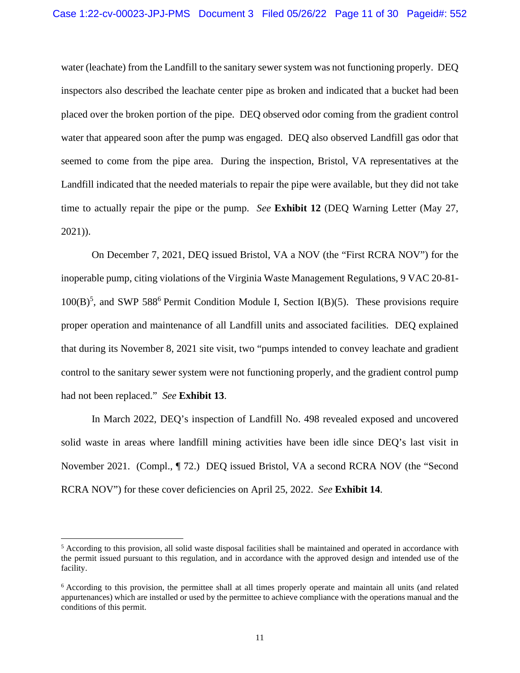water (leachate) from the Landfill to the sanitary sewer system was not functioning properly. DEQ inspectors also described the leachate center pipe as broken and indicated that a bucket had been placed over the broken portion of the pipe. DEQ observed odor coming from the gradient control water that appeared soon after the pump was engaged. DEQ also observed Landfill gas odor that seemed to come from the pipe area. During the inspection, Bristol, VA representatives at the Landfill indicated that the needed materials to repair the pipe were available, but they did not take time to actually repair the pipe or the pump. *See* **Exhibit 12** (DEQ Warning Letter (May 27, 2021)).

On December 7, 2021, DEQ issued Bristol, VA a NOV (the "First RCRA NOV") for the inoperable pump, citing violations of the Virginia Waste Management Regulations, 9 VAC 20-81-  $100(B)^5$ , and SWP 588<sup>6</sup> Permit Condition Module I, Section I(B)(5). These provisions require proper operation and maintenance of all Landfill units and associated facilities. DEQ explained that during its November 8, 2021 site visit, two "pumps intended to convey leachate and gradient control to the sanitary sewer system were not functioning properly, and the gradient control pump had not been replaced." *See* **Exhibit 13**.

In March 2022, DEQ's inspection of Landfill No. 498 revealed exposed and uncovered solid waste in areas where landfill mining activities have been idle since DEQ's last visit in November 2021. (Compl., ¶ 72.) DEQ issued Bristol, VA a second RCRA NOV (the "Second RCRA NOV") for these cover deficiencies on April 25, 2022. *See* **Exhibit 14**.

<sup>&</sup>lt;sup>5</sup> According to this provision, all solid waste disposal facilities shall be maintained and operated in accordance with the permit issued pursuant to this regulation, and in accordance with the approved design and intended use of the facility.

<sup>&</sup>lt;sup>6</sup> According to this provision, the permittee shall at all times properly operate and maintain all units (and related appurtenances) which are installed or used by the permittee to achieve compliance with the operations manual and the conditions of this permit.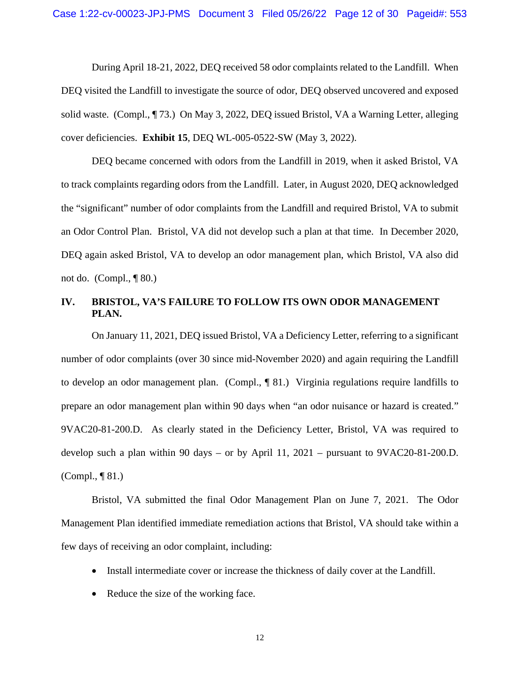During April 18-21, 2022, DEQ received 58 odor complaints related to the Landfill. When DEQ visited the Landfill to investigate the source of odor, DEQ observed uncovered and exposed solid waste. (Compl., ¶ 73.) On May 3, 2022, DEQ issued Bristol, VA a Warning Letter, alleging cover deficiencies. **Exhibit 15**, DEQ WL-005-0522-SW (May 3, 2022).

DEQ became concerned with odors from the Landfill in 2019, when it asked Bristol, VA to track complaints regarding odors from the Landfill. Later, in August 2020, DEQ acknowledged the "significant" number of odor complaints from the Landfill and required Bristol, VA to submit an Odor Control Plan. Bristol, VA did not develop such a plan at that time. In December 2020, DEQ again asked Bristol, VA to develop an odor management plan, which Bristol, VA also did not do. (Compl., ¶ 80.)

# **IV. BRISTOL, VA'S FAILURE TO FOLLOW ITS OWN ODOR MANAGEMENT PLAN.**

On January 11, 2021, DEQ issued Bristol, VA a Deficiency Letter, referring to a significant number of odor complaints (over 30 since mid-November 2020) and again requiring the Landfill to develop an odor management plan. (Compl., ¶ 81.) Virginia regulations require landfills to prepare an odor management plan within 90 days when "an odor nuisance or hazard is created." 9VAC20-81-200.D. As clearly stated in the Deficiency Letter, Bristol, VA was required to develop such a plan within 90 days – or by April 11, 2021 – pursuant to 9VAC20-81-200.D. (Compl., ¶ 81.)

Bristol, VA submitted the final Odor Management Plan on June 7, 2021. The Odor Management Plan identified immediate remediation actions that Bristol, VA should take within a few days of receiving an odor complaint, including:

- Install intermediate cover or increase the thickness of daily cover at the Landfill.
- Reduce the size of the working face.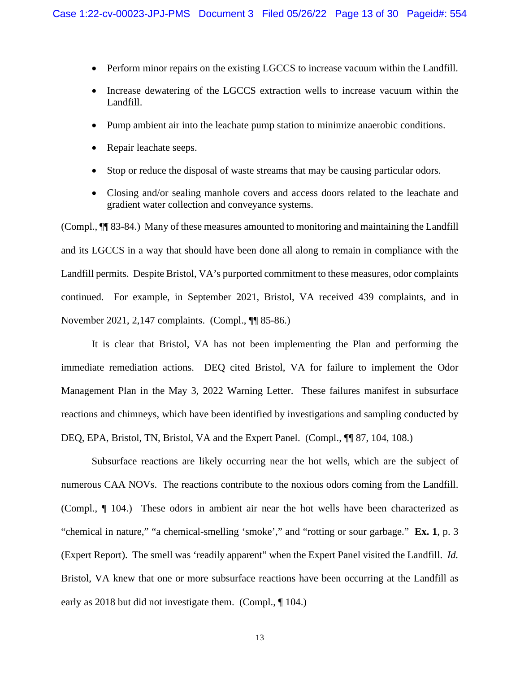- Perform minor repairs on the existing LGCCS to increase vacuum within the Landfill.
- Increase dewatering of the LGCCS extraction wells to increase vacuum within the Landfill.
- Pump ambient air into the leachate pump station to minimize anaerobic conditions.
- Repair leachate seeps.
- Stop or reduce the disposal of waste streams that may be causing particular odors.
- Closing and/or sealing manhole covers and access doors related to the leachate and gradient water collection and conveyance systems.

(Compl., ¶¶ 83-84.) Many of these measures amounted to monitoring and maintaining the Landfill and its LGCCS in a way that should have been done all along to remain in compliance with the Landfill permits. Despite Bristol, VA's purported commitment to these measures, odor complaints continued. For example, in September 2021, Bristol, VA received 439 complaints, and in November 2021, 2,147 complaints. (Compl., ¶¶ 85-86.)

It is clear that Bristol, VA has not been implementing the Plan and performing the immediate remediation actions. DEQ cited Bristol, VA for failure to implement the Odor Management Plan in the May 3, 2022 Warning Letter. These failures manifest in subsurface reactions and chimneys, which have been identified by investigations and sampling conducted by DEQ, EPA, Bristol, TN, Bristol, VA and the Expert Panel. (Compl.,  $\P$  87, 104, 108.)

Subsurface reactions are likely occurring near the hot wells, which are the subject of numerous CAA NOVs. The reactions contribute to the noxious odors coming from the Landfill. (Compl., ¶ 104.) These odors in ambient air near the hot wells have been characterized as "chemical in nature," "a chemical-smelling 'smoke'," and "rotting or sour garbage." **Ex. 1**, p. 3 (Expert Report). The smell was 'readily apparent" when the Expert Panel visited the Landfill. *Id.* Bristol, VA knew that one or more subsurface reactions have been occurring at the Landfill as early as 2018 but did not investigate them. (Compl.,  $\P$  104.)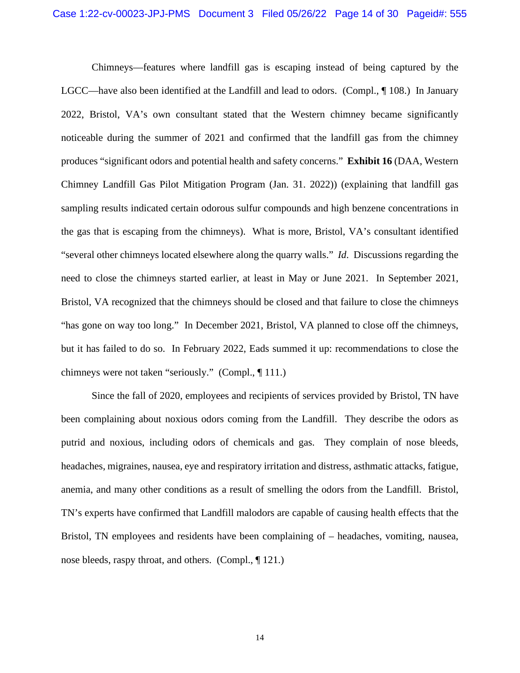Chimneys—features where landfill gas is escaping instead of being captured by the LGCC—have also been identified at the Landfill and lead to odors. (Compl., ¶ 108.) In January 2022, Bristol, VA's own consultant stated that the Western chimney became significantly noticeable during the summer of 2021 and confirmed that the landfill gas from the chimney produces "significant odors and potential health and safety concerns." **Exhibit 16** (DAA, Western Chimney Landfill Gas Pilot Mitigation Program (Jan. 31. 2022)) (explaining that landfill gas sampling results indicated certain odorous sulfur compounds and high benzene concentrations in the gas that is escaping from the chimneys). What is more, Bristol, VA's consultant identified "several other chimneys located elsewhere along the quarry walls." *Id*. Discussions regarding the need to close the chimneys started earlier, at least in May or June 2021. In September 2021, Bristol, VA recognized that the chimneys should be closed and that failure to close the chimneys "has gone on way too long." In December 2021, Bristol, VA planned to close off the chimneys, but it has failed to do so. In February 2022, Eads summed it up: recommendations to close the chimneys were not taken "seriously." (Compl., ¶ 111.)

Since the fall of 2020, employees and recipients of services provided by Bristol, TN have been complaining about noxious odors coming from the Landfill. They describe the odors as putrid and noxious, including odors of chemicals and gas. They complain of nose bleeds, headaches, migraines, nausea, eye and respiratory irritation and distress, asthmatic attacks, fatigue, anemia, and many other conditions as a result of smelling the odors from the Landfill. Bristol, TN's experts have confirmed that Landfill malodors are capable of causing health effects that the Bristol, TN employees and residents have been complaining of – headaches, vomiting, nausea, nose bleeds, raspy throat, and others. (Compl., ¶ 121.)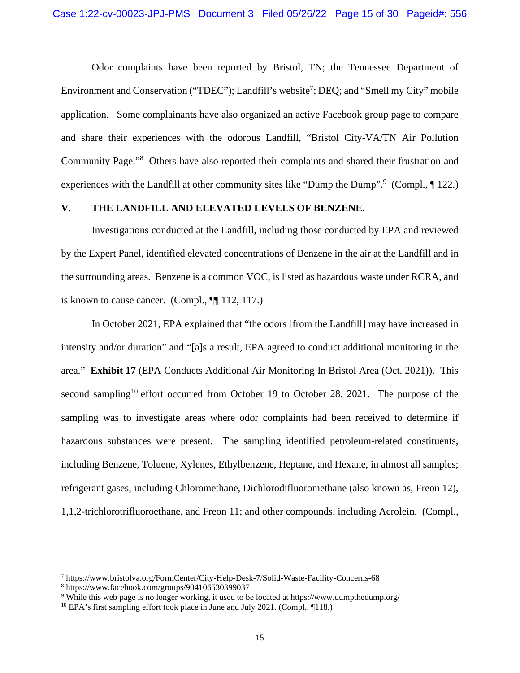Odor complaints have been reported by Bristol, TN; the Tennessee Department of Environment and Conservation ("TDEC"); Landfill's website<sup>7</sup>; DEQ; and "Smell my City" mobile application. Some complainants have also organized an active Facebook group page to compare and share their experiences with the odorous Landfill, "Bristol City-VA/TN Air Pollution Community Page."<sup>8</sup> Others have also reported their complaints and shared their frustration and experiences with the Landfill at other community sites like "Dump the Dump".<sup>9</sup> (Compl., 122.)

## **V. THE LANDFILL AND ELEVATED LEVELS OF BENZENE.**

Investigations conducted at the Landfill, including those conducted by EPA and reviewed by the Expert Panel, identified elevated concentrations of Benzene in the air at the Landfill and in the surrounding areas. Benzene is a common VOC, is listed as hazardous waste under RCRA, and is known to cause cancer. (Compl., ¶¶ 112, 117.)

In October 2021, EPA explained that "the odors [from the Landfill] may have increased in intensity and/or duration" and "[a]s a result, EPA agreed to conduct additional monitoring in the area." **Exhibit 17** (EPA Conducts Additional Air Monitoring In Bristol Area (Oct. 2021)). This second sampling<sup>10</sup> effort occurred from October 19 to October 28, 2021. The purpose of the sampling was to investigate areas where odor complaints had been received to determine if hazardous substances were present. The sampling identified petroleum-related constituents, including Benzene, Toluene, Xylenes, Ethylbenzene, Heptane, and Hexane, in almost all samples; refrigerant gases, including Chloromethane, Dichlorodifluoromethane (also known as, Freon 12), 1,1,2-trichlorotrifluoroethane, and Freon 11; and other compounds, including Acrolein. (Compl.,

<sup>7</sup> https://www.bristolva.org/FormCenter/City-Help-Desk-7/Solid-Waste-Facility-Concerns-68

<sup>8</sup> https://www.facebook.com/groups/904106530399037

<sup>9</sup> While this web page is no longer working, it used to be located at https://www.dumpthedump.org/

<sup>&</sup>lt;sup>10</sup> EPA's first sampling effort took place in June and July 2021. (Compl., ¶118.)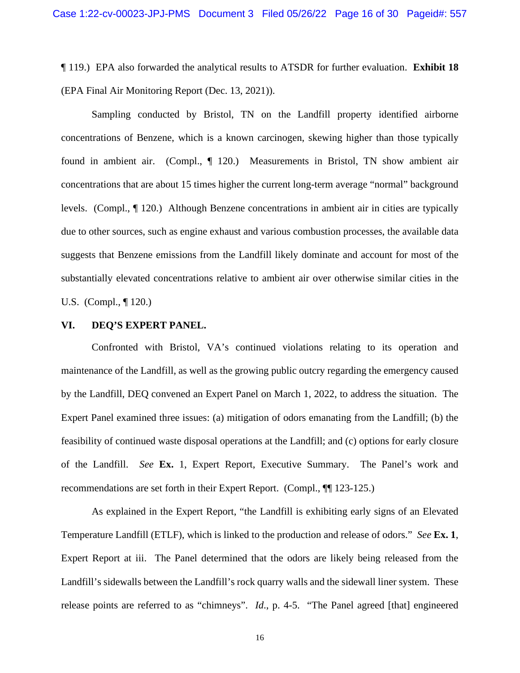¶ 119.) EPA also forwarded the analytical results to ATSDR for further evaluation. **Exhibit 18** (EPA Final Air Monitoring Report (Dec. 13, 2021)).

Sampling conducted by Bristol, TN on the Landfill property identified airborne concentrations of Benzene, which is a known carcinogen, skewing higher than those typically found in ambient air. (Compl., ¶ 120.) Measurements in Bristol, TN show ambient air concentrations that are about 15 times higher the current long-term average "normal" background levels. (Compl., ¶ 120.) Although Benzene concentrations in ambient air in cities are typically due to other sources, such as engine exhaust and various combustion processes, the available data suggests that Benzene emissions from the Landfill likely dominate and account for most of the substantially elevated concentrations relative to ambient air over otherwise similar cities in the U.S. (Compl., ¶ 120.)

### **VI. DEQ'S EXPERT PANEL.**

Confronted with Bristol, VA's continued violations relating to its operation and maintenance of the Landfill, as well as the growing public outcry regarding the emergency caused by the Landfill, DEQ convened an Expert Panel on March 1, 2022, to address the situation. The Expert Panel examined three issues: (a) mitigation of odors emanating from the Landfill; (b) the feasibility of continued waste disposal operations at the Landfill; and (c) options for early closure of the Landfill. *See* **Ex.** 1, Expert Report, Executive Summary. The Panel's work and recommendations are set forth in their Expert Report. (Compl., ¶¶ 123-125.)

As explained in the Expert Report, "the Landfill is exhibiting early signs of an Elevated Temperature Landfill (ETLF), which is linked to the production and release of odors." *See* **Ex. 1**, Expert Report at iii. The Panel determined that the odors are likely being released from the Landfill's sidewalls between the Landfill's rock quarry walls and the sidewall liner system. These release points are referred to as "chimneys". *Id*., p. 4-5. "The Panel agreed [that] engineered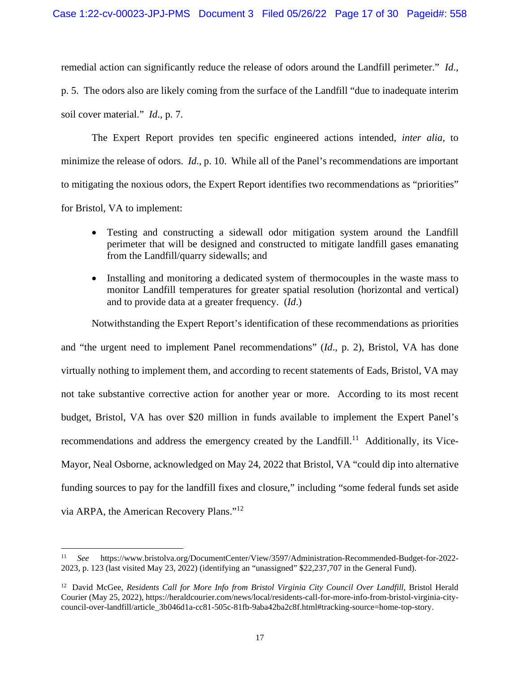remedial action can significantly reduce the release of odors around the Landfill perimeter." *Id*.,

p. 5. The odors also are likely coming from the surface of the Landfill "due to inadequate interim soil cover material." *Id*., p. 7.

The Expert Report provides ten specific engineered actions intended, *inter alia*, to minimize the release of odors. *Id*., p. 10. While all of the Panel's recommendations are important to mitigating the noxious odors, the Expert Report identifies two recommendations as "priorities" for Bristol, VA to implement:

- Testing and constructing a sidewall odor mitigation system around the Landfill perimeter that will be designed and constructed to mitigate landfill gases emanating from the Landfill/quarry sidewalls; and
- Installing and monitoring a dedicated system of thermocouples in the waste mass to monitor Landfill temperatures for greater spatial resolution (horizontal and vertical) and to provide data at a greater frequency. (*Id*.)

Notwithstanding the Expert Report's identification of these recommendations as priorities and "the urgent need to implement Panel recommendations" (*Id*., p. 2), Bristol, VA has done virtually nothing to implement them, and according to recent statements of Eads, Bristol, VA may not take substantive corrective action for another year or more. According to its most recent budget, Bristol, VA has over \$20 million in funds available to implement the Expert Panel's recommendations and address the emergency created by the Landfill.<sup>11</sup> Additionally, its Vice-Mayor, Neal Osborne, acknowledged on May 24, 2022 that Bristol, VA "could dip into alternative funding sources to pay for the landfill fixes and closure," including "some federal funds set aside via ARPA, the American Recovery Plans."<sup>12</sup>

<sup>11</sup> *See* https://www.bristolva.org/DocumentCenter/View/3597/Administration-Recommended-Budget-for-2022- 2023, p. 123 (last visited May 23, 2022) (identifying an "unassigned" \$22,237,707 in the General Fund).

<sup>&</sup>lt;sup>12</sup> David McGee, *Residents Call for More Info from Bristol Virginia City Council Over Landfill*, Bristol Herald Courier (May 25, 2022), https://heraldcourier.com/news/local/residents-call-for-more-info-from-bristol-virginia-citycouncil-over-landfill/article\_3b046d1a-cc81-505c-81fb-9aba42ba2c8f.html#tracking-source=home-top-story.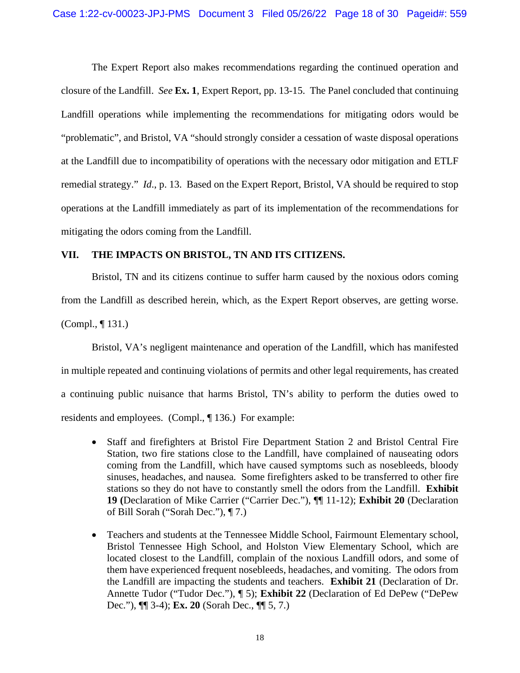The Expert Report also makes recommendations regarding the continued operation and closure of the Landfill. *See* **Ex. 1**, Expert Report, pp. 13-15. The Panel concluded that continuing Landfill operations while implementing the recommendations for mitigating odors would be "problematic", and Bristol, VA "should strongly consider a cessation of waste disposal operations at the Landfill due to incompatibility of operations with the necessary odor mitigation and ETLF remedial strategy." *Id*., p. 13. Based on the Expert Report, Bristol, VA should be required to stop operations at the Landfill immediately as part of its implementation of the recommendations for mitigating the odors coming from the Landfill.

# **VII. THE IMPACTS ON BRISTOL, TN AND ITS CITIZENS.**

Bristol, TN and its citizens continue to suffer harm caused by the noxious odors coming from the Landfill as described herein, which, as the Expert Report observes, are getting worse. (Compl., ¶ 131.)

Bristol, VA's negligent maintenance and operation of the Landfill, which has manifested in multiple repeated and continuing violations of permits and other legal requirements, has created a continuing public nuisance that harms Bristol, TN's ability to perform the duties owed to residents and employees. (Compl., ¶ 136.) For example:

- Staff and firefighters at Bristol Fire Department Station 2 and Bristol Central Fire Station, two fire stations close to the Landfill, have complained of nauseating odors coming from the Landfill, which have caused symptoms such as nosebleeds, bloody sinuses, headaches, and nausea. Some firefighters asked to be transferred to other fire stations so they do not have to constantly smell the odors from the Landfill. **Exhibit 19 (**Declaration of Mike Carrier ("Carrier Dec."), ¶¶ 11-12); **Exhibit 20** (Declaration of Bill Sorah ("Sorah Dec."), ¶ 7.)
- Teachers and students at the Tennessee Middle School, Fairmount Elementary school, Bristol Tennessee High School, and Holston View Elementary School, which are located closest to the Landfill, complain of the noxious Landfill odors, and some of them have experienced frequent nosebleeds, headaches, and vomiting. The odors from the Landfill are impacting the students and teachers. **Exhibit 21** (Declaration of Dr. Annette Tudor ("Tudor Dec."), ¶ 5); **Exhibit 22** (Declaration of Ed DePew ("DePew Dec."), ¶¶ 3-4); **Ex. 20** (Sorah Dec., ¶¶ 5, 7.)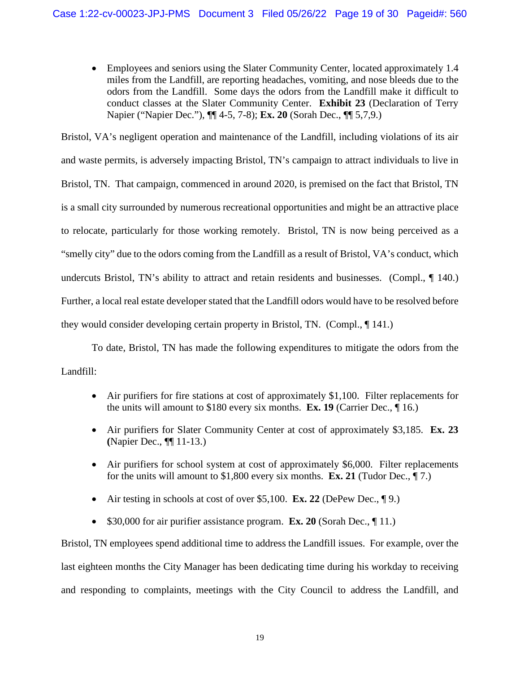Employees and seniors using the Slater Community Center, located approximately 1.4 miles from the Landfill, are reporting headaches, vomiting, and nose bleeds due to the odors from the Landfill. Some days the odors from the Landfill make it difficult to conduct classes at the Slater Community Center. **Exhibit 23** (Declaration of Terry Napier ("Napier Dec."), ¶¶ 4-5, 7-8); **Ex. 20** (Sorah Dec., ¶¶ 5,7,9.)

Bristol, VA's negligent operation and maintenance of the Landfill, including violations of its air and waste permits, is adversely impacting Bristol, TN's campaign to attract individuals to live in Bristol, TN. That campaign, commenced in around 2020, is premised on the fact that Bristol, TN is a small city surrounded by numerous recreational opportunities and might be an attractive place to relocate, particularly for those working remotely. Bristol, TN is now being perceived as a "smelly city" due to the odors coming from the Landfill as a result of Bristol, VA's conduct, which undercuts Bristol, TN's ability to attract and retain residents and businesses. (Compl., ¶ 140.) Further, a local real estate developer stated that the Landfill odors would have to be resolved before they would consider developing certain property in Bristol, TN. (Compl., ¶ 141.)

To date, Bristol, TN has made the following expenditures to mitigate the odors from the Landfill:

- Air purifiers for fire stations at cost of approximately \$1,100. Filter replacements for the units will amount to \$180 every six months. **Ex. 19** (Carrier Dec., ¶ 16.)
- Air purifiers for Slater Community Center at cost of approximately \$3,185. **Ex. 23 (**Napier Dec., ¶¶ 11-13.)
- Air purifiers for school system at cost of approximately \$6,000. Filter replacements for the units will amount to \$1,800 every six months. **Ex. 21** (Tudor Dec., ¶ 7.)
- Air testing in schools at cost of over \$5,100. **Ex. 22** (DePew Dec., ¶ 9.)
- \$30,000 for air purifier assistance program. **Ex. 20** (Sorah Dec., 11.)

Bristol, TN employees spend additional time to address the Landfill issues. For example, over the last eighteen months the City Manager has been dedicating time during his workday to receiving and responding to complaints, meetings with the City Council to address the Landfill, and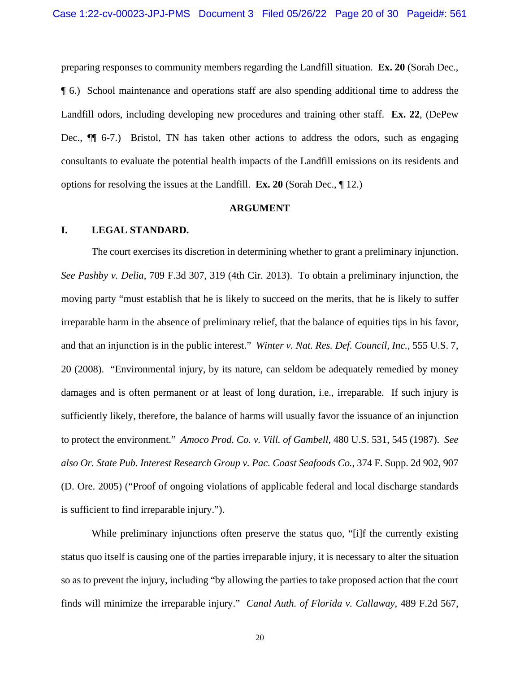preparing responses to community members regarding the Landfill situation. **Ex. 20** (Sorah Dec., ¶ 6.) School maintenance and operations staff are also spending additional time to address the Landfill odors, including developing new procedures and training other staff. **Ex. 22**, (DePew Dec.,  $\P$  6-7.) Bristol, TN has taken other actions to address the odors, such as engaging consultants to evaluate the potential health impacts of the Landfill emissions on its residents and options for resolving the issues at the Landfill. **Ex. 20** (Sorah Dec., ¶ 12.)

#### **ARGUMENT**

### **I. LEGAL STANDARD.**

The court exercises its discretion in determining whether to grant a preliminary injunction. *See Pashby v. Delia*, 709 F.3d 307, 319 (4th Cir. 2013). To obtain a preliminary injunction, the moving party "must establish that he is likely to succeed on the merits, that he is likely to suffer irreparable harm in the absence of preliminary relief, that the balance of equities tips in his favor, and that an injunction is in the public interest." *Winter v. Nat. Res. Def. Council, Inc.*, 555 U.S. 7, 20 (2008). "Environmental injury, by its nature, can seldom be adequately remedied by money damages and is often permanent or at least of long duration, i.e., irreparable. If such injury is sufficiently likely, therefore, the balance of harms will usually favor the issuance of an injunction to protect the environment." *Amoco Prod. Co. v. Vill. of Gambell*, 480 U.S. 531, 545 (1987). *See also Or. State Pub. Interest Research Group v. Pac. Coast Seafoods Co.*, 374 F. Supp. 2d 902, 907 (D. Ore. 2005) ("Proof of ongoing violations of applicable federal and local discharge standards is sufficient to find irreparable injury.").

While preliminary injunctions often preserve the status quo, "[i]f the currently existing status quo itself is causing one of the parties irreparable injury, it is necessary to alter the situation so as to prevent the injury, including "by allowing the parties to take proposed action that the court finds will minimize the irreparable injury." *Canal Auth. of Florida v. Callaway*, 489 F.2d 567,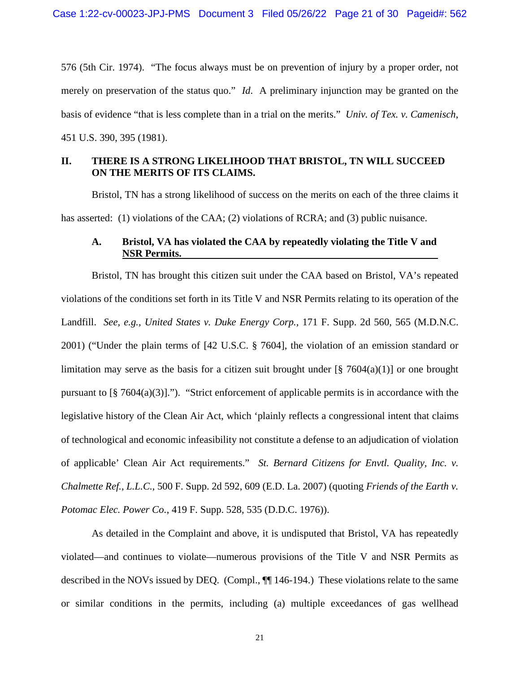576 (5th Cir. 1974). "The focus always must be on prevention of injury by a proper order, not merely on preservation of the status quo." *Id*. A preliminary injunction may be granted on the basis of evidence "that is less complete than in a trial on the merits." *Univ. of Tex. v. Camenisch*, 451 U.S. 390, 395 (1981).

# **II. THERE IS A STRONG LIKELIHOOD THAT BRISTOL, TN WILL SUCCEED ON THE MERITS OF ITS CLAIMS.**

Bristol, TN has a strong likelihood of success on the merits on each of the three claims it has asserted: (1) violations of the CAA; (2) violations of RCRA; and (3) public nuisance.

# **A. Bristol, VA has violated the CAA by repeatedly violating the Title V and NSR Permits.**

Bristol, TN has brought this citizen suit under the CAA based on Bristol, VA's repeated violations of the conditions set forth in its Title V and NSR Permits relating to its operation of the Landfill. *See, e.g., United States v. Duke Energy Corp.,* 171 F. Supp. 2d 560, 565 (M.D.N.C. 2001) ("Under the plain terms of [42 U.S.C. § 7604], the violation of an emission standard or limitation may serve as the basis for a citizen suit brought under  $\lceil \frac{8}{5} \cdot 7604(a)(1) \rceil$  or one brought pursuant to [§ 7604(a)(3)]."). "Strict enforcement of applicable permits is in accordance with the legislative history of the Clean Air Act, which 'plainly reflects a congressional intent that claims of technological and economic infeasibility not constitute a defense to an adjudication of violation of applicable' Clean Air Act requirements." *St. Bernard Citizens for Envtl. Quality, Inc. v. Chalmette Ref., L.L.C.*, 500 F. Supp. 2d 592, 609 (E.D. La. 2007) (quoting *Friends of the Earth v. Potomac Elec. Power Co.*, 419 F. Supp. 528, 535 (D.D.C. 1976)).

As detailed in the Complaint and above, it is undisputed that Bristol, VA has repeatedly violated—and continues to violate—numerous provisions of the Title V and NSR Permits as described in the NOVs issued by DEO. (Compl.,  $\P$  146-194.) These violations relate to the same or similar conditions in the permits, including (a) multiple exceedances of gas wellhead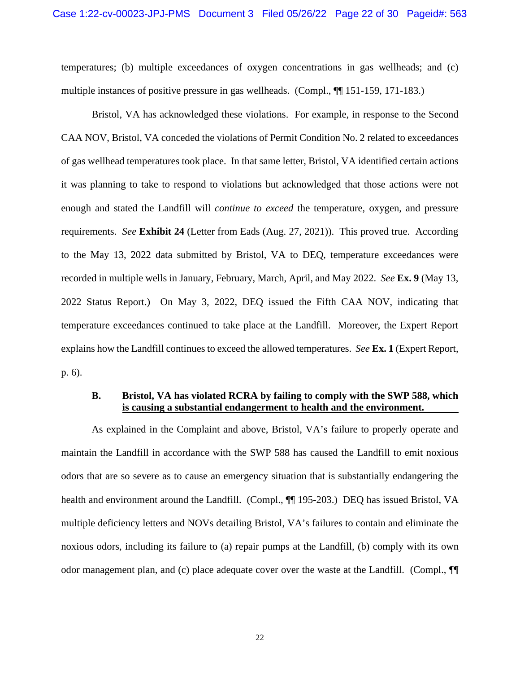temperatures; (b) multiple exceedances of oxygen concentrations in gas wellheads; and (c) multiple instances of positive pressure in gas wellheads. (Compl., ¶¶ 151-159, 171-183.)

Bristol, VA has acknowledged these violations. For example, in response to the Second CAA NOV, Bristol, VA conceded the violations of Permit Condition No. 2 related to exceedances of gas wellhead temperatures took place. In that same letter, Bristol, VA identified certain actions it was planning to take to respond to violations but acknowledged that those actions were not enough and stated the Landfill will *continue to exceed* the temperature, oxygen, and pressure requirements. *See* **Exhibit 24** (Letter from Eads (Aug. 27, 2021)). This proved true. According to the May 13, 2022 data submitted by Bristol, VA to DEQ, temperature exceedances were recorded in multiple wells in January, February, March, April, and May 2022. *See* **Ex. 9** (May 13, 2022 Status Report.) On May 3, 2022, DEQ issued the Fifth CAA NOV, indicating that temperature exceedances continued to take place at the Landfill. Moreover, the Expert Report explains how the Landfill continues to exceed the allowed temperatures. *See* **Ex. 1** (Expert Report, p. 6).

# **B. Bristol, VA has violated RCRA by failing to comply with the SWP 588, which is causing a substantial endangerment to health and the environment.**

As explained in the Complaint and above, Bristol, VA's failure to properly operate and maintain the Landfill in accordance with the SWP 588 has caused the Landfill to emit noxious odors that are so severe as to cause an emergency situation that is substantially endangering the health and environment around the Landfill. (Compl.,  $\P$ ] 195-203.) DEQ has issued Bristol, VA multiple deficiency letters and NOVs detailing Bristol, VA's failures to contain and eliminate the noxious odors, including its failure to (a) repair pumps at the Landfill, (b) comply with its own odor management plan, and (c) place adequate cover over the waste at the Landfill. (Compl., ¶¶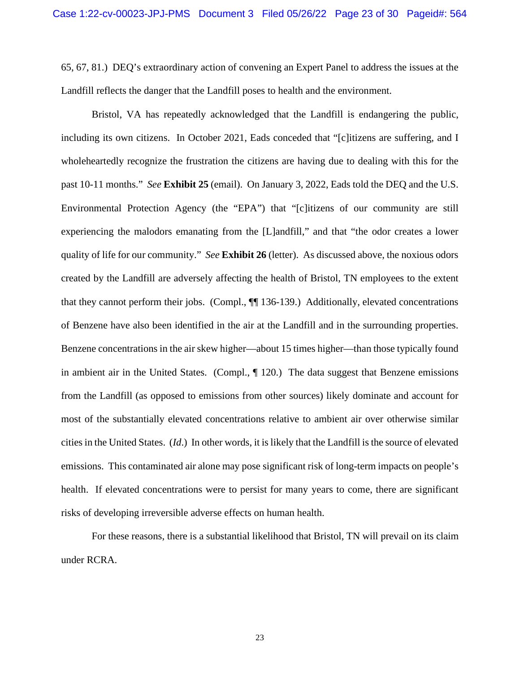65, 67, 81.) DEQ's extraordinary action of convening an Expert Panel to address the issues at the Landfill reflects the danger that the Landfill poses to health and the environment.

Bristol, VA has repeatedly acknowledged that the Landfill is endangering the public, including its own citizens. In October 2021, Eads conceded that "[c]itizens are suffering, and I wholeheartedly recognize the frustration the citizens are having due to dealing with this for the past 10-11 months." *See* **Exhibit 25** (email). On January 3, 2022, Eads told the DEQ and the U.S. Environmental Protection Agency (the "EPA") that "[c]itizens of our community are still experiencing the malodors emanating from the [L]andfill," and that "the odor creates a lower quality of life for our community." *See* **Exhibit 26** (letter). As discussed above, the noxious odors created by the Landfill are adversely affecting the health of Bristol, TN employees to the extent that they cannot perform their jobs. (Compl., ¶¶ 136-139.) Additionally, elevated concentrations of Benzene have also been identified in the air at the Landfill and in the surrounding properties. Benzene concentrations in the air skew higher—about 15 times higher—than those typically found in ambient air in the United States. (Compl.,  $\P$  120.) The data suggest that Benzene emissions from the Landfill (as opposed to emissions from other sources) likely dominate and account for most of the substantially elevated concentrations relative to ambient air over otherwise similar cities in the United States. (*Id*.) In other words, it is likely that the Landfill is the source of elevated emissions. This contaminated air alone may pose significant risk of long-term impacts on people's health. If elevated concentrations were to persist for many years to come, there are significant risks of developing irreversible adverse effects on human health.

For these reasons, there is a substantial likelihood that Bristol, TN will prevail on its claim under RCRA.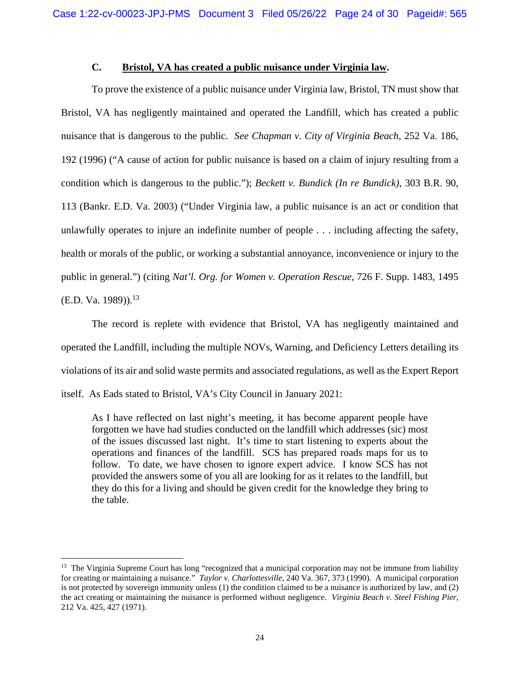# **C. Bristol, VA has created a public nuisance under Virginia law.**

To prove the existence of a public nuisance under Virginia law, Bristol, TN must show that Bristol, VA has negligently maintained and operated the Landfill, which has created a public nuisance that is dangerous to the public. *See Chapman v. City of Virginia Beach*, 252 Va. 186, 192 (1996) ("A cause of action for public nuisance is based on a claim of injury resulting from a condition which is dangerous to the public."); *Beckett v. Bundick (In re Bundick)*, 303 B.R. 90, 113 (Bankr. E.D. Va. 2003) ("Under Virginia law, a public nuisance is an act or condition that unlawfully operates to injure an indefinite number of people . . . including affecting the safety, health or morals of the public, or working a substantial annoyance, inconvenience or injury to the public in general.") (citing *Nat'l. Org. for Women v. Operation Rescue*, 726 F. Supp. 1483, 1495  $(E.D. Va. 1989)$ <sup>13</sup>

The record is replete with evidence that Bristol, VA has negligently maintained and operated the Landfill, including the multiple NOVs, Warning, and Deficiency Letters detailing its violations of its air and solid waste permits and associated regulations, as well as the Expert Report itself. As Eads stated to Bristol, VA's City Council in January 2021:

As I have reflected on last night's meeting, it has become apparent people have forgotten we have had studies conducted on the landfill which addresses (sic) most of the issues discussed last night. It's time to start listening to experts about the operations and finances of the landfill. SCS has prepared roads maps for us to follow. To date, we have chosen to ignore expert advice. I know SCS has not provided the answers some of you all are looking for as it relates to the landfill, but they do this for a living and should be given credit for the knowledge they bring to the table.

<sup>&</sup>lt;sup>13</sup> The Virginia Supreme Court has long "recognized that a municipal corporation may not be immune from liability for creating or maintaining a nuisance." *Taylor v. Charlottesville*, 240 Va. 367, 373 (1990). A municipal corporation is not protected by sovereign immunity unless (1) the condition claimed to be a nuisance is authorized by law, and (2) the act creating or maintaining the nuisance is performed without negligence. *Virginia Beach v. Steel Fishing Pier*, 212 Va. 425, 427 (1971).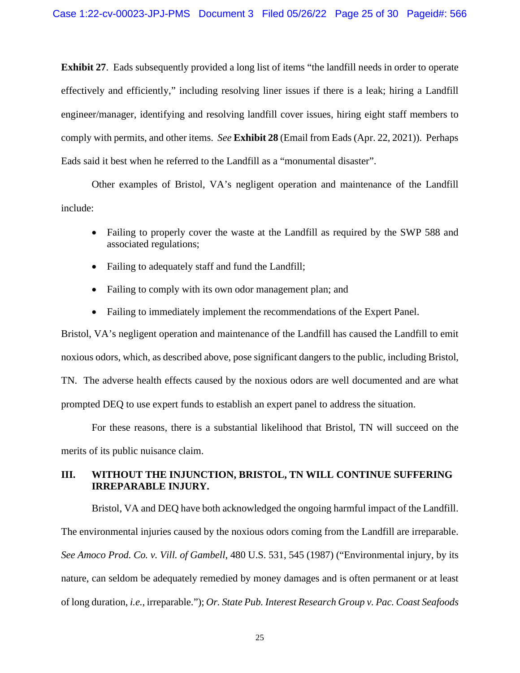**Exhibit 27**. Eads subsequently provided a long list of items "the landfill needs in order to operate effectively and efficiently," including resolving liner issues if there is a leak; hiring a Landfill engineer/manager, identifying and resolving landfill cover issues, hiring eight staff members to comply with permits, and other items. *See* **Exhibit 28** (Email from Eads (Apr. 22, 2021)). Perhaps Eads said it best when he referred to the Landfill as a "monumental disaster".

Other examples of Bristol, VA's negligent operation and maintenance of the Landfill include:

- Failing to properly cover the waste at the Landfill as required by the SWP 588 and associated regulations;
- Failing to adequately staff and fund the Landfill;
- Failing to comply with its own odor management plan; and
- Failing to immediately implement the recommendations of the Expert Panel.

Bristol, VA's negligent operation and maintenance of the Landfill has caused the Landfill to emit noxious odors, which, as described above, pose significant dangers to the public, including Bristol, TN. The adverse health effects caused by the noxious odors are well documented and are what prompted DEQ to use expert funds to establish an expert panel to address the situation.

For these reasons, there is a substantial likelihood that Bristol, TN will succeed on the merits of its public nuisance claim.

# **III. WITHOUT THE INJUNCTION, BRISTOL, TN WILL CONTINUE SUFFERING IRREPARABLE INJURY.**

Bristol, VA and DEQ have both acknowledged the ongoing harmful impact of the Landfill. The environmental injuries caused by the noxious odors coming from the Landfill are irreparable. *See Amoco Prod. Co. v. Vill. of Gambell*, 480 U.S. 531, 545 (1987) ("Environmental injury, by its nature, can seldom be adequately remedied by money damages and is often permanent or at least of long duration, *i.e.*, irreparable."); *Or. State Pub. Interest Research Group v. Pac. Coast Seafoods*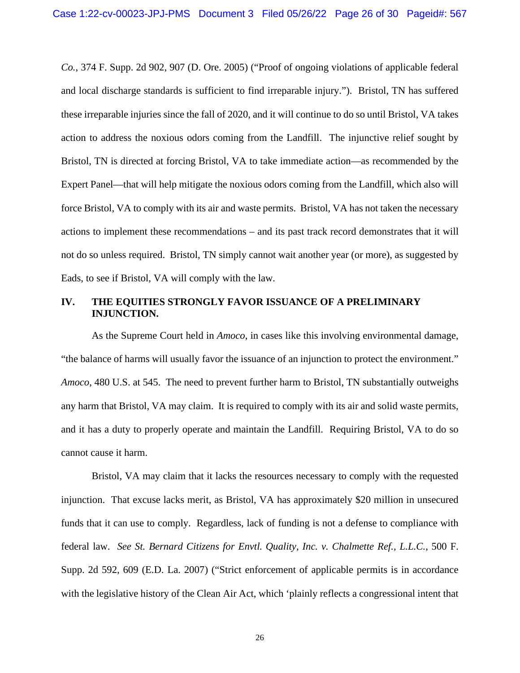*Co.*, 374 F. Supp. 2d 902, 907 (D. Ore. 2005) ("Proof of ongoing violations of applicable federal and local discharge standards is sufficient to find irreparable injury."). Bristol, TN has suffered these irreparable injuries since the fall of 2020, and it will continue to do so until Bristol, VA takes action to address the noxious odors coming from the Landfill. The injunctive relief sought by Bristol, TN is directed at forcing Bristol, VA to take immediate action—as recommended by the Expert Panel—that will help mitigate the noxious odors coming from the Landfill, which also will force Bristol, VA to comply with its air and waste permits. Bristol, VA has not taken the necessary actions to implement these recommendations – and its past track record demonstrates that it will not do so unless required. Bristol, TN simply cannot wait another year (or more), as suggested by Eads, to see if Bristol, VA will comply with the law.

## **IV. THE EQUITIES STRONGLY FAVOR ISSUANCE OF A PRELIMINARY INJUNCTION.**

As the Supreme Court held in *Amoco*, in cases like this involving environmental damage, "the balance of harms will usually favor the issuance of an injunction to protect the environment." *Amoco*, 480 U.S. at 545. The need to prevent further harm to Bristol, TN substantially outweighs any harm that Bristol, VA may claim. It is required to comply with its air and solid waste permits, and it has a duty to properly operate and maintain the Landfill. Requiring Bristol, VA to do so cannot cause it harm.

Bristol, VA may claim that it lacks the resources necessary to comply with the requested injunction. That excuse lacks merit, as Bristol, VA has approximately \$20 million in unsecured funds that it can use to comply. Regardless, lack of funding is not a defense to compliance with federal law. *See St. Bernard Citizens for Envtl. Quality, Inc. v. Chalmette Ref., L.L.C.*, 500 F. Supp. 2d 592, 609 (E.D. La. 2007) ("Strict enforcement of applicable permits is in accordance with the legislative history of the Clean Air Act, which 'plainly reflects a congressional intent that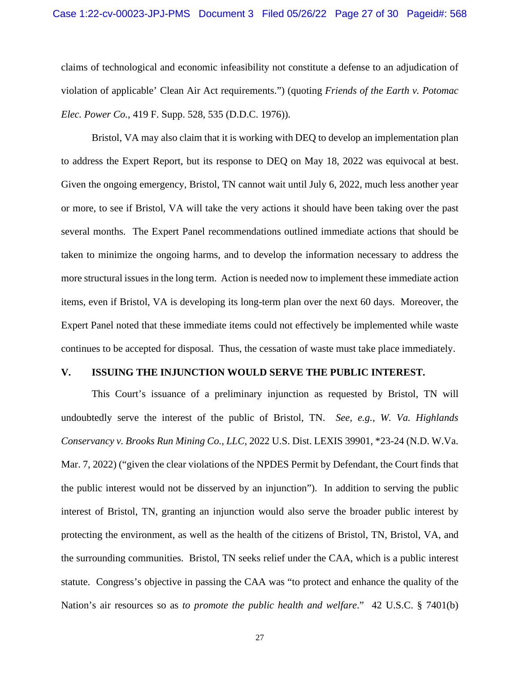claims of technological and economic infeasibility not constitute a defense to an adjudication of violation of applicable' Clean Air Act requirements.") (quoting *Friends of the Earth v. Potomac Elec. Power Co.*, 419 F. Supp. 528, 535 (D.D.C. 1976)).

Bristol, VA may also claim that it is working with DEQ to develop an implementation plan to address the Expert Report, but its response to DEQ on May 18, 2022 was equivocal at best. Given the ongoing emergency, Bristol, TN cannot wait until July 6, 2022, much less another year or more, to see if Bristol, VA will take the very actions it should have been taking over the past several months. The Expert Panel recommendations outlined immediate actions that should be taken to minimize the ongoing harms, and to develop the information necessary to address the more structural issues in the long term. Action is needed now to implement these immediate action items, even if Bristol, VA is developing its long-term plan over the next 60 days. Moreover, the Expert Panel noted that these immediate items could not effectively be implemented while waste continues to be accepted for disposal. Thus, the cessation of waste must take place immediately.

### **V. ISSUING THE INJUNCTION WOULD SERVE THE PUBLIC INTEREST.**

This Court's issuance of a preliminary injunction as requested by Bristol, TN will undoubtedly serve the interest of the public of Bristol, TN. *See, e.g., W. Va. Highlands Conservancy v. Brooks Run Mining Co., LLC*, 2022 U.S. Dist. LEXIS 39901, \*23-24 (N.D. W.Va. Mar. 7, 2022) ("given the clear violations of the NPDES Permit by Defendant, the Court finds that the public interest would not be disserved by an injunction"). In addition to serving the public interest of Bristol, TN, granting an injunction would also serve the broader public interest by protecting the environment, as well as the health of the citizens of Bristol, TN, Bristol, VA, and the surrounding communities. Bristol, TN seeks relief under the CAA, which is a public interest statute. Congress's objective in passing the CAA was "to protect and enhance the quality of the Nation's air resources so as *to promote the public health and welfare*." 42 U.S.C. § 7401(b)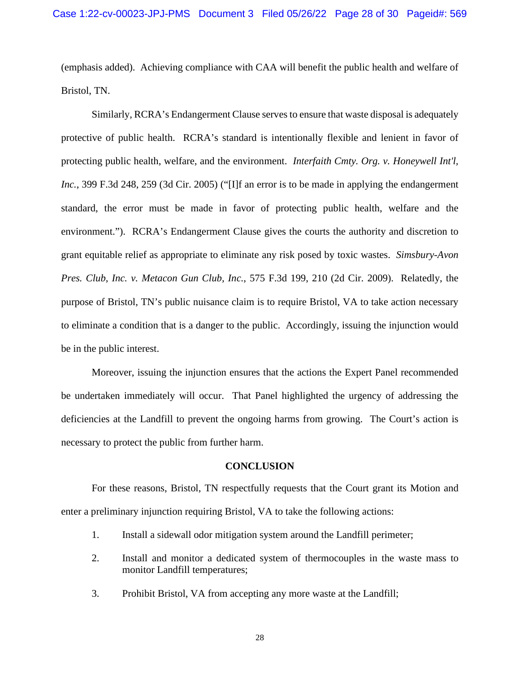(emphasis added). Achieving compliance with CAA will benefit the public health and welfare of Bristol, TN.

Similarly, RCRA's Endangerment Clause serves to ensure that waste disposal is adequately protective of public health. RCRA's standard is intentionally flexible and lenient in favor of protecting public health, welfare, and the environment. *Interfaith Cmty. Org. v. Honeywell Int'l, Inc.*, 399 F.3d 248, 259 (3d Cir. 2005) ("[I]f an error is to be made in applying the endangerment standard, the error must be made in favor of protecting public health, welfare and the environment."). RCRA's Endangerment Clause gives the courts the authority and discretion to grant equitable relief as appropriate to eliminate any risk posed by toxic wastes. *Simsbury-Avon Pres. Club, Inc. v. Metacon Gun Club, Inc.*, 575 F.3d 199, 210 (2d Cir. 2009). Relatedly, the purpose of Bristol, TN's public nuisance claim is to require Bristol, VA to take action necessary to eliminate a condition that is a danger to the public. Accordingly, issuing the injunction would be in the public interest.

Moreover, issuing the injunction ensures that the actions the Expert Panel recommended be undertaken immediately will occur. That Panel highlighted the urgency of addressing the deficiencies at the Landfill to prevent the ongoing harms from growing. The Court's action is necessary to protect the public from further harm.

### **CONCLUSION**

For these reasons, Bristol, TN respectfully requests that the Court grant its Motion and enter a preliminary injunction requiring Bristol, VA to take the following actions:

- 1. Install a sidewall odor mitigation system around the Landfill perimeter;
- 2. Install and monitor a dedicated system of thermocouples in the waste mass to monitor Landfill temperatures;
- 3. Prohibit Bristol, VA from accepting any more waste at the Landfill;

28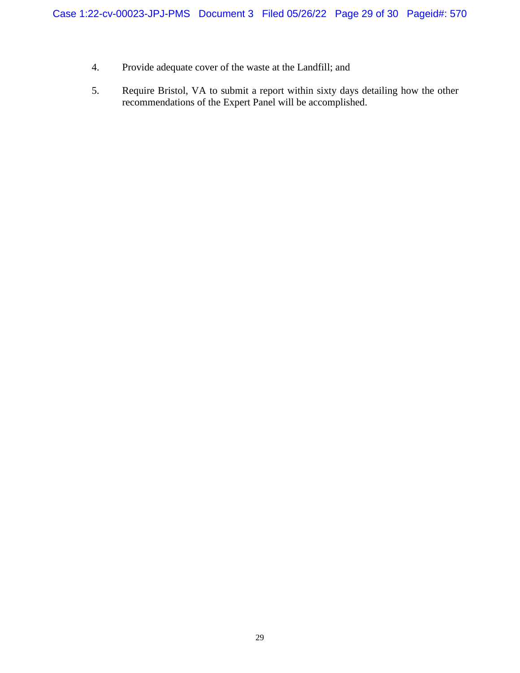- 4. Provide adequate cover of the waste at the Landfill; and
- 5. Require Bristol, VA to submit a report within sixty days detailing how the other recommendations of the Expert Panel will be accomplished.